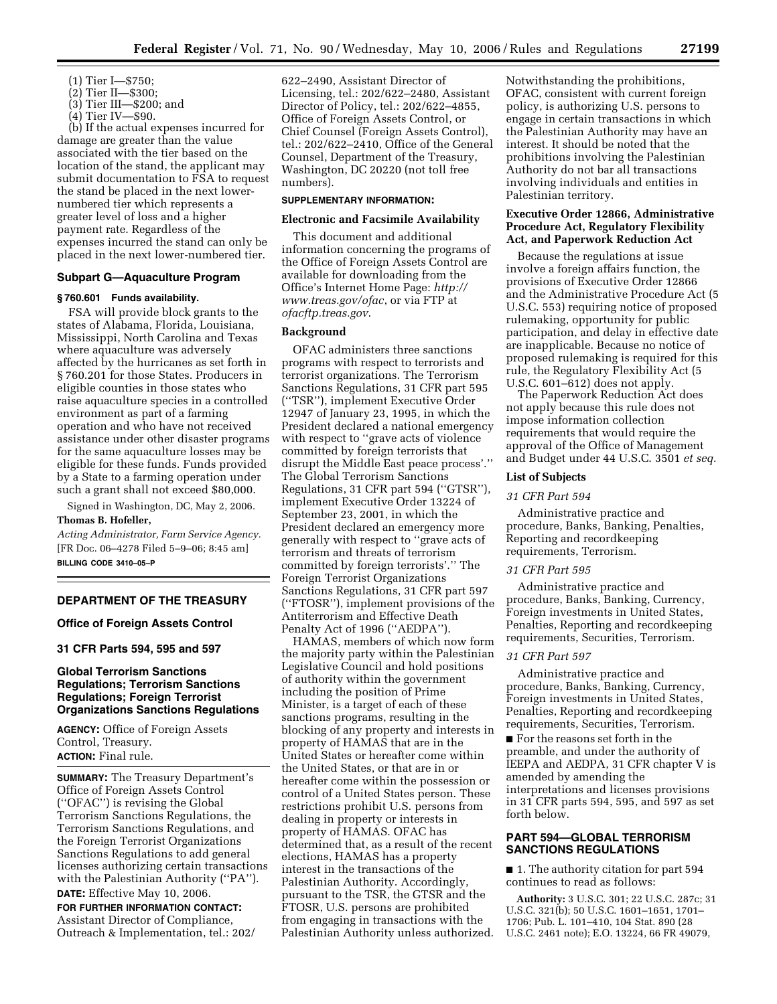- (1) Tier I—\$750;
- (2) Tier II—\$300;
- (3) Tier III—\$200; and
- (4) Tier IV—\$90.

(b) If the actual expenses incurred for damage are greater than the value associated with the tier based on the location of the stand, the applicant may submit documentation to FSA to request the stand be placed in the next lowernumbered tier which represents a greater level of loss and a higher payment rate. Regardless of the expenses incurred the stand can only be placed in the next lower-numbered tier.

# **Subpart G—Aquaculture Program**

# **§ 760.601 Funds availability.**

FSA will provide block grants to the states of Alabama, Florida, Louisiana, Mississippi, North Carolina and Texas where aquaculture was adversely affected by the hurricanes as set forth in § 760.201 for those States. Producers in eligible counties in those states who raise aquaculture species in a controlled environment as part of a farming operation and who have not received assistance under other disaster programs for the same aquaculture losses may be eligible for these funds. Funds provided by a State to a farming operation under such a grant shall not exceed \$80,000.

Signed in Washington, DC, May 2, 2006.

# **Thomas B. Hofeller,**

*Acting Administrator, Farm Service Agency.*  [FR Doc. 06–4278 Filed 5–9–06; 8:45 am] **BILLING CODE 3410–05–P** 

# **DEPARTMENT OF THE TREASURY**

# **Office of Foreign Assets Control**

# **31 CFR Parts 594, 595 and 597**

# **Global Terrorism Sanctions Regulations; Terrorism Sanctions Regulations; Foreign Terrorist Organizations Sanctions Regulations**

**AGENCY:** Office of Foreign Assets Control, Treasury. **ACTION:** Final rule.

**SUMMARY:** The Treasury Department's Office of Foreign Assets Control (''OFAC'') is revising the Global Terrorism Sanctions Regulations, the Terrorism Sanctions Regulations, and the Foreign Terrorist Organizations Sanctions Regulations to add general licenses authorizing certain transactions with the Palestinian Authority (''PA''). **DATE:** Effective May 10, 2006.

**FOR FURTHER INFORMATION CONTACT:**  Assistant Director of Compliance, Outreach & Implementation, tel.: 202/ 622–2490, Assistant Director of Licensing, tel.: 202/622–2480, Assistant Director of Policy, tel.: 202/622–4855, Office of Foreign Assets Control, or Chief Counsel (Foreign Assets Control), tel.: 202/622–2410, Office of the General Counsel, Department of the Treasury, Washington, DC 20220 (not toll free numbers).

# **SUPPLEMENTARY INFORMATION:**

### **Electronic and Facsimile Availability**

This document and additional information concerning the programs of the Office of Foreign Assets Control are available for downloading from the Office's Internet Home Page: *http:// www.treas.gov/ofac*, or via FTP at *ofacftp.treas.gov*.

# **Background**

OFAC administers three sanctions programs with respect to terrorists and terrorist organizations. The Terrorism Sanctions Regulations, 31 CFR part 595 (''TSR''), implement Executive Order 12947 of January 23, 1995, in which the President declared a national emergency with respect to ''grave acts of violence committed by foreign terrorists that disrupt the Middle East peace process'.'' The Global Terrorism Sanctions Regulations, 31 CFR part 594 (''GTSR''), implement Executive Order 13224 of September 23, 2001, in which the President declared an emergency more generally with respect to ''grave acts of terrorism and threats of terrorism committed by foreign terrorists'.'' The Foreign Terrorist Organizations Sanctions Regulations, 31 CFR part 597 (''FTOSR''), implement provisions of the Antiterrorism and Effective Death Penalty Act of 1996 (''AEDPA'').

HAMAS, members of which now form the majority party within the Palestinian Legislative Council and hold positions of authority within the government including the position of Prime Minister, is a target of each of these sanctions programs, resulting in the blocking of any property and interests in property of HAMAS that are in the United States or hereafter come within the United States, or that are in or hereafter come within the possession or control of a United States person. These restrictions prohibit U.S. persons from dealing in property or interests in property of HAMAS. OFAC has determined that, as a result of the recent elections, HAMAS has a property interest in the transactions of the Palestinian Authority. Accordingly, pursuant to the TSR, the GTSR and the FTOSR, U.S. persons are prohibited from engaging in transactions with the Palestinian Authority unless authorized.

Notwithstanding the prohibitions, OFAC, consistent with current foreign policy, is authorizing U.S. persons to engage in certain transactions in which the Palestinian Authority may have an interest. It should be noted that the prohibitions involving the Palestinian Authority do not bar all transactions involving individuals and entities in Palestinian territory.

# **Executive Order 12866, Administrative Procedure Act, Regulatory Flexibility Act, and Paperwork Reduction Act**

Because the regulations at issue involve a foreign affairs function, the provisions of Executive Order 12866 and the Administrative Procedure Act (5 U.S.C. 553) requiring notice of proposed rulemaking, opportunity for public participation, and delay in effective date are inapplicable. Because no notice of proposed rulemaking is required for this rule, the Regulatory Flexibility Act (5 U.S.C. 601–612) does not apply.

The Paperwork Reduction Act does not apply because this rule does not impose information collection requirements that would require the approval of the Office of Management and Budget under 44 U.S.C. 3501 *et seq.* 

#### **List of Subjects**

#### *31 CFR Part 594*

Administrative practice and procedure, Banks, Banking, Penalties, Reporting and recordkeeping requirements, Terrorism.

#### *31 CFR Part 595*

Administrative practice and procedure, Banks, Banking, Currency, Foreign investments in United States, Penalties, Reporting and recordkeeping requirements, Securities, Terrorism.

### *31 CFR Part 597*

Administrative practice and procedure, Banks, Banking, Currency, Foreign investments in United States, Penalties, Reporting and recordkeeping requirements, Securities, Terrorism.

■ For the reasons set forth in the preamble, and under the authority of IEEPA and AEDPA, 31 CFR chapter V is amended by amending the interpretations and licenses provisions in 31 CFR parts 594, 595, and 597 as set forth below.

# **PART 594—GLOBAL TERRORISM SANCTIONS REGULATIONS**

■ 1. The authority citation for part 594 continues to read as follows:

**Authority:** 3 U.S.C. 301; 22 U.S.C. 287c; 31 U.S.C. 321(b); 50 U.S.C. 1601–1651, 1701– 1706; Pub. L. 101–410, 104 Stat. 890 (28 U.S.C. 2461 note); E.O. 13224, 66 FR 49079,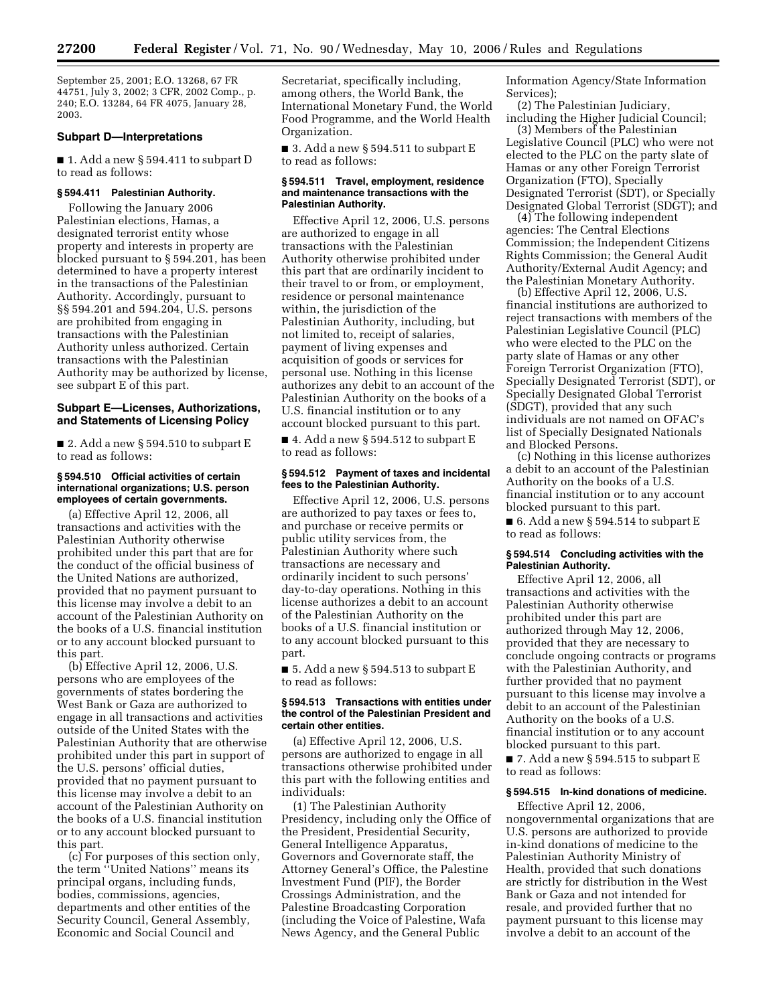September 25, 2001; E.O. 13268, 67 FR 44751, July 3, 2002; 3 CFR, 2002 Comp., p. 240; E.O. 13284, 64 FR 4075, January 28, 2003.

### **Subpart D—Interpretations**

■ 1. Add a new § 594.411 to subpart D to read as follows:

# **§ 594.411 Palestinian Authority.**

Following the January 2006 Palestinian elections, Hamas, a designated terrorist entity whose property and interests in property are blocked pursuant to § 594.201, has been determined to have a property interest in the transactions of the Palestinian Authority. Accordingly, pursuant to §§ 594.201 and 594.204, U.S. persons are prohibited from engaging in transactions with the Palestinian Authority unless authorized. Certain transactions with the Palestinian Authority may be authorized by license, see subpart E of this part.

# **Subpart E—Licenses, Authorizations, and Statements of Licensing Policy**

■ 2. Add a new § 594.510 to subpart E to read as follows:

# **§ 594.510 Official activities of certain international organizations; U.S. person employees of certain governments.**

(a) Effective April 12, 2006, all transactions and activities with the Palestinian Authority otherwise prohibited under this part that are for the conduct of the official business of the United Nations are authorized, provided that no payment pursuant to this license may involve a debit to an account of the Palestinian Authority on the books of a U.S. financial institution or to any account blocked pursuant to this part.

(b) Effective April 12, 2006, U.S. persons who are employees of the governments of states bordering the West Bank or Gaza are authorized to engage in all transactions and activities outside of the United States with the Palestinian Authority that are otherwise prohibited under this part in support of the U.S. persons' official duties, provided that no payment pursuant to this license may involve a debit to an account of the Palestinian Authority on the books of a U.S. financial institution or to any account blocked pursuant to this part.

(c) For purposes of this section only, the term ''United Nations'' means its principal organs, including funds, bodies, commissions, agencies, departments and other entities of the Security Council, General Assembly, Economic and Social Council and

Secretariat, specifically including, among others, the World Bank, the International Monetary Fund, the World Food Programme, and the World Health Organization.

■ 3. Add a new § 594.511 to subpart E to read as follows:

#### **§ 594.511 Travel, employment, residence and maintenance transactions with the Palestinian Authority.**

Effective April 12, 2006, U.S. persons are authorized to engage in all transactions with the Palestinian Authority otherwise prohibited under this part that are ordinarily incident to their travel to or from, or employment, residence or personal maintenance within, the jurisdiction of the Palestinian Authority, including, but not limited to, receipt of salaries, payment of living expenses and acquisition of goods or services for personal use. Nothing in this license authorizes any debit to an account of the Palestinian Authority on the books of a U.S. financial institution or to any account blocked pursuant to this part.

■ 4. Add a new § 594.512 to subpart E to read as follows:

# **§ 594.512 Payment of taxes and incidental fees to the Palestinian Authority.**

Effective April 12, 2006, U.S. persons are authorized to pay taxes or fees to, and purchase or receive permits or public utility services from, the Palestinian Authority where such transactions are necessary and ordinarily incident to such persons' day-to-day operations. Nothing in this license authorizes a debit to an account of the Palestinian Authority on the books of a U.S. financial institution or to any account blocked pursuant to this part.

■ 5. Add a new § 594.513 to subpart E to read as follows:

### **§ 594.513 Transactions with entities under the control of the Palestinian President and certain other entities.**

(a) Effective April 12, 2006, U.S. persons are authorized to engage in all transactions otherwise prohibited under this part with the following entities and individuals:

(1) The Palestinian Authority Presidency, including only the Office of the President, Presidential Security, General Intelligence Apparatus, Governors and Governorate staff, the Attorney General's Office, the Palestine Investment Fund (PIF), the Border Crossings Administration, and the Palestine Broadcasting Corporation (including the Voice of Palestine, Wafa News Agency, and the General Public

Information Agency/State Information Services);

(2) The Palestinian Judiciary, including the Higher Judicial Council;

(3) Members of the Palestinian Legislative Council (PLC) who were not elected to the PLC on the party slate of Hamas or any other Foreign Terrorist Organization (FTO), Specially Designated Terrorist (SDT), or Specially Designated Global Terrorist (SDGT); and

(4) The following independent agencies: The Central Elections Commission; the Independent Citizens Rights Commission; the General Audit Authority/External Audit Agency; and the Palestinian Monetary Authority.

(b) Effective April 12, 2006, U.S. financial institutions are authorized to reject transactions with members of the Palestinian Legislative Council (PLC) who were elected to the PLC on the party slate of Hamas or any other Foreign Terrorist Organization (FTO), Specially Designated Terrorist (SDT), or Specially Designated Global Terrorist (SDGT), provided that any such individuals are not named on OFAC's list of Specially Designated Nationals and Blocked Persons.

(c) Nothing in this license authorizes a debit to an account of the Palestinian Authority on the books of a U.S. financial institution or to any account blocked pursuant to this part.

 $\blacksquare$  6. Add a new § 594.514 to subpart E to read as follows:

### **§ 594.514 Concluding activities with the Palestinian Authority.**

Effective April 12, 2006, all transactions and activities with the Palestinian Authority otherwise prohibited under this part are authorized through May 12, 2006, provided that they are necessary to conclude ongoing contracts or programs with the Palestinian Authority, and further provided that no payment pursuant to this license may involve a debit to an account of the Palestinian Authority on the books of a U.S. financial institution or to any account blocked pursuant to this part.

 $\blacksquare$  7. Add a new § 594.515 to subpart E to read as follows:

# **§ 594.515 In-kind donations of medicine.**

Effective April 12, 2006, nongovernmental organizations that are U.S. persons are authorized to provide in-kind donations of medicine to the Palestinian Authority Ministry of Health, provided that such donations are strictly for distribution in the West Bank or Gaza and not intended for resale, and provided further that no payment pursuant to this license may involve a debit to an account of the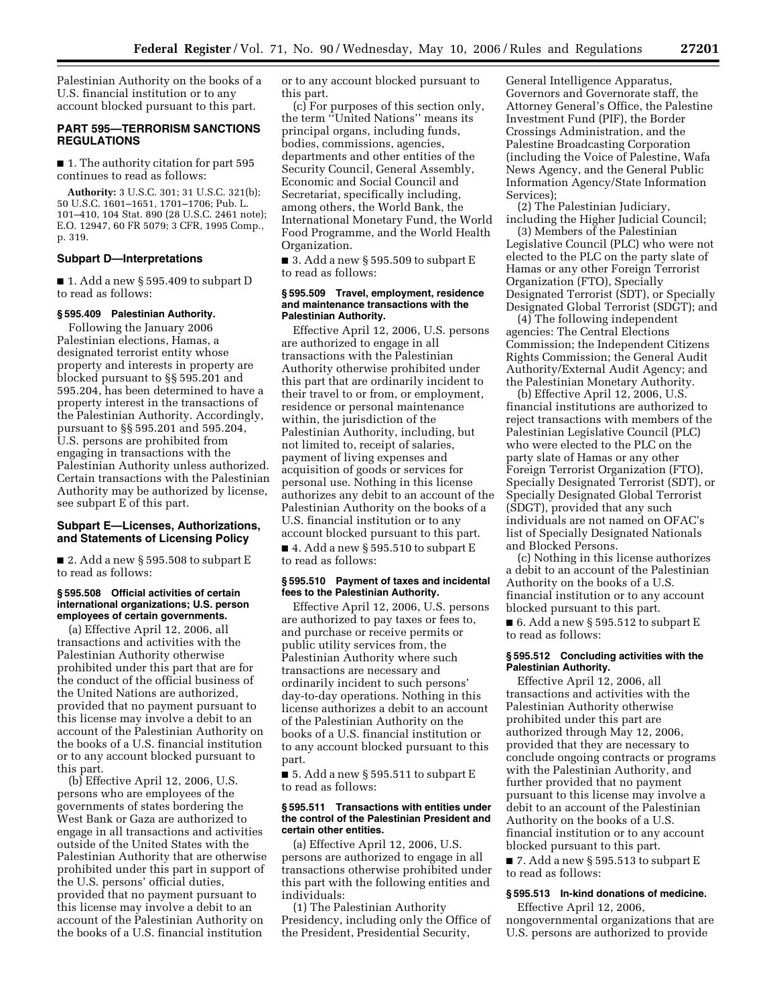Palestinian Authority on the books of a U.S. financial institution or to any account blocked pursuant to this part.

# **PART 595—TERRORISM SANCTIONS REGULATIONS**

■ 1. The authority citation for part 595 continues to read as follows:

**Authority:** 3 U.S.C. 301; 31 U.S.C. 321(b); 50 U.S.C. 1601–1651, 1701–1706; Pub. L. 101–410, 104 Stat. 890 (28 U.S.C. 2461 note); E.O. 12947, 60 FR 5079; 3 CFR, 1995 Comp., p. 319.

### **Subpart D—Interpretations**

■ 1. Add a new § 595.409 to subpart D to read as follows:

# **§ 595.409 Palestinian Authority.**

Following the January 2006 Palestinian elections, Hamas, a designated terrorist entity whose property and interests in property are blocked pursuant to §§ 595.201 and 595.204, has been determined to have a property interest in the transactions of the Palestinian Authority. Accordingly, pursuant to §§ 595.201 and 595.204, U.S. persons are prohibited from engaging in transactions with the Palestinian Authority unless authorized. Certain transactions with the Palestinian Authority may be authorized by license, see subpart E of this part.

# **Subpart E—Licenses, Authorizations, and Statements of Licensing Policy**

 $\blacksquare$  2. Add a new § 595.508 to subpart E to read as follows:

# **§ 595.508 Official activities of certain international organizations; U.S. person employees of certain governments.**

(a) Effective April 12, 2006, all transactions and activities with the Palestinian Authority otherwise prohibited under this part that are for the conduct of the official business of the United Nations are authorized, provided that no payment pursuant to this license may involve a debit to an account of the Palestinian Authority on the books of a U.S. financial institution or to any account blocked pursuant to this part.

(b) Effective April 12, 2006, U.S. persons who are employees of the governments of states bordering the West Bank or Gaza are authorized to engage in all transactions and activities outside of the United States with the Palestinian Authority that are otherwise prohibited under this part in support of the U.S. persons' official duties, provided that no payment pursuant to this license may involve a debit to an account of the Palestinian Authority on the books of a U.S. financial institution

or to any account blocked pursuant to this part.

(c) For purposes of this section only, the term ''United Nations'' means its principal organs, including funds, bodies, commissions, agencies, departments and other entities of the Security Council, General Assembly, Economic and Social Council and Secretariat, specifically including, among others, the World Bank, the International Monetary Fund, the World Food Programme, and the World Health Organization.

■ 3. Add a new § 595.509 to subpart E to read as follows:

#### **§ 595.509 Travel, employment, residence and maintenance transactions with the Palestinian Authority.**

Effective April 12, 2006, U.S. persons are authorized to engage in all transactions with the Palestinian Authority otherwise prohibited under this part that are ordinarily incident to their travel to or from, or employment, residence or personal maintenance within, the jurisdiction of the Palestinian Authority, including, but not limited to, receipt of salaries, payment of living expenses and acquisition of goods or services for personal use. Nothing in this license authorizes any debit to an account of the Palestinian Authority on the books of a U.S. financial institution or to any account blocked pursuant to this part.

 $\blacksquare$  4. Add a new § 595.510 to subpart E to read as follows:

#### **§ 595.510 Payment of taxes and incidental fees to the Palestinian Authority.**

Effective April 12, 2006, U.S. persons are authorized to pay taxes or fees to, and purchase or receive permits or public utility services from, the Palestinian Authority where such transactions are necessary and ordinarily incident to such persons' day-to-day operations. Nothing in this license authorizes a debit to an account of the Palestinian Authority on the books of a U.S. financial institution or to any account blocked pursuant to this part.

■ 5. Add a new § 595.511 to subpart E to read as follows:

### **§ 595.511 Transactions with entities under the control of the Palestinian President and certain other entities.**

(a) Effective April 12, 2006, U.S. persons are authorized to engage in all transactions otherwise prohibited under this part with the following entities and individuals:

(1) The Palestinian Authority Presidency, including only the Office of the President, Presidential Security,

General Intelligence Apparatus, Governors and Governorate staff, the Attorney General's Office, the Palestine Investment Fund (PIF), the Border Crossings Administration, and the Palestine Broadcasting Corporation (including the Voice of Palestine, Wafa News Agency, and the General Public Information Agency/State Information Services);

(2) The Palestinian Judiciary, including the Higher Judicial Council;

(3) Members of the Palestinian Legislative Council (PLC) who were not elected to the PLC on the party slate of Hamas or any other Foreign Terrorist Organization (FTO), Specially Designated Terrorist (SDT), or Specially Designated Global Terrorist (SDGT); and

(4) The following independent agencies: The Central Elections Commission; the Independent Citizens Rights Commission; the General Audit Authority/External Audit Agency; and the Palestinian Monetary Authority.

(b) Effective April 12, 2006, U.S. financial institutions are authorized to reject transactions with members of the Palestinian Legislative Council (PLC) who were elected to the PLC on the party slate of Hamas or any other Foreign Terrorist Organization (FTO), Specially Designated Terrorist (SDT), or Specially Designated Global Terrorist (SDGT), provided that any such individuals are not named on OFAC's list of Specially Designated Nationals and Blocked Persons.

(c) Nothing in this license authorizes a debit to an account of the Palestinian Authority on the books of a U.S. financial institution or to any account blocked pursuant to this part.

■ 6. Add a new § 595.512 to subpart E to read as follows:

### **§ 595.512 Concluding activities with the Palestinian Authority.**

Effective April 12, 2006, all transactions and activities with the Palestinian Authority otherwise prohibited under this part are authorized through May 12, 2006, provided that they are necessary to conclude ongoing contracts or programs with the Palestinian Authority, and further provided that no payment pursuant to this license may involve a debit to an account of the Palestinian Authority on the books of a U.S. financial institution or to any account blocked pursuant to this part.

 $\blacksquare$  7. Add a new § 595.513 to subpart E to read as follows:

# **§ 595.513 In-kind donations of medicine.**

Effective April 12, 2006, nongovernmental organizations that are U.S. persons are authorized to provide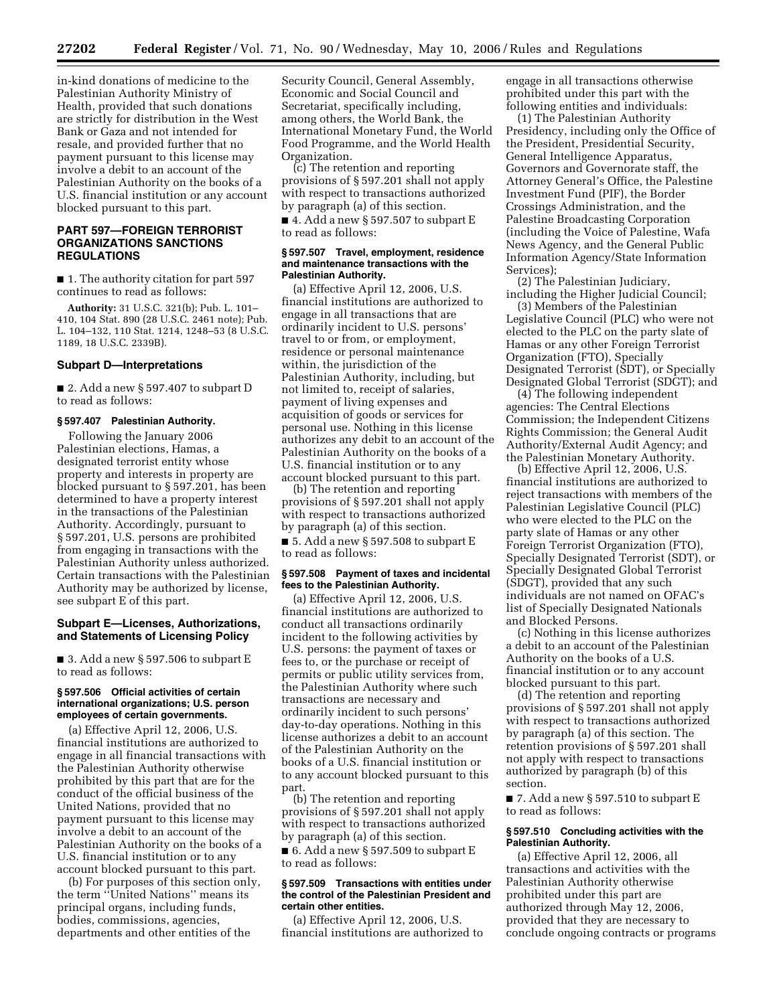in-kind donations of medicine to the Palestinian Authority Ministry of Health, provided that such donations are strictly for distribution in the West Bank or Gaza and not intended for resale, and provided further that no payment pursuant to this license may involve a debit to an account of the Palestinian Authority on the books of a U.S. financial institution or any account blocked pursuant to this part.

# **PART 597—FOREIGN TERRORIST ORGANIZATIONS SANCTIONS REGULATIONS**

■ 1. The authority citation for part 597 continues to read as follows:

**Authority:** 31 U.S.C. 321(b); Pub. L. 101– 410, 104 Stat. 890 (28 U.S.C. 2461 note); Pub. L. 104–132, 110 Stat. 1214, 1248–53 (8 U.S.C. 1189, 18 U.S.C. 2339B).

### **Subpart D—Interpretations**

■ 2. Add a new § 597.407 to subpart D to read as follows:

### **§ 597.407 Palestinian Authority.**

Following the January 2006 Palestinian elections, Hamas, a designated terrorist entity whose property and interests in property are blocked pursuant to § 597.201, has been determined to have a property interest in the transactions of the Palestinian Authority. Accordingly, pursuant to § 597.201, U.S. persons are prohibited from engaging in transactions with the Palestinian Authority unless authorized. Certain transactions with the Palestinian Authority may be authorized by license, see subpart E of this part.

# **Subpart E—Licenses, Authorizations, and Statements of Licensing Policy**

 $\blacksquare$  3. Add a new § 597.506 to subpart E to read as follows:

### **§ 597.506 Official activities of certain international organizations; U.S. person employees of certain governments.**

(a) Effective April 12, 2006, U.S. financial institutions are authorized to engage in all financial transactions with the Palestinian Authority otherwise prohibited by this part that are for the conduct of the official business of the United Nations, provided that no payment pursuant to this license may involve a debit to an account of the Palestinian Authority on the books of a U.S. financial institution or to any account blocked pursuant to this part.

(b) For purposes of this section only, the term ''United Nations'' means its principal organs, including funds, bodies, commissions, agencies, departments and other entities of the

Security Council, General Assembly, Economic and Social Council and Secretariat, specifically including, among others, the World Bank, the International Monetary Fund, the World Food Programme, and the World Health Organization.

(c) The retention and reporting provisions of § 597.201 shall not apply with respect to transactions authorized by paragraph (a) of this section.

 $\blacksquare$  4. Add a new § 597.507 to subpart E to read as follows:

#### **§ 597.507 Travel, employment, residence and maintenance transactions with the Palestinian Authority.**

(a) Effective April 12, 2006, U.S. financial institutions are authorized to engage in all transactions that are ordinarily incident to U.S. persons' travel to or from, or employment, residence or personal maintenance within, the jurisdiction of the Palestinian Authority, including, but not limited to, receipt of salaries, payment of living expenses and acquisition of goods or services for personal use. Nothing in this license authorizes any debit to an account of the Palestinian Authority on the books of a U.S. financial institution or to any account blocked pursuant to this part.

(b) The retention and reporting provisions of § 597.201 shall not apply with respect to transactions authorized by paragraph (a) of this section.

■ 5. Add a new § 597.508 to subpart  $E$ to read as follows:

# **§ 597.508 Payment of taxes and incidental fees to the Palestinian Authority.**

(a) Effective April 12, 2006, U.S. financial institutions are authorized to conduct all transactions ordinarily incident to the following activities by U.S. persons: the payment of taxes or fees to, or the purchase or receipt of permits or public utility services from, the Palestinian Authority where such transactions are necessary and ordinarily incident to such persons' day-to-day operations. Nothing in this license authorizes a debit to an account of the Palestinian Authority on the books of a U.S. financial institution or to any account blocked pursuant to this part.

(b) The retention and reporting provisions of § 597.201 shall not apply with respect to transactions authorized by paragraph (a) of this section.

 $\blacksquare$  6. Add a new § 597.509 to subpart E to read as follows:

#### **§ 597.509 Transactions with entities under the control of the Palestinian President and certain other entities.**

(a) Effective April 12, 2006, U.S. financial institutions are authorized to engage in all transactions otherwise prohibited under this part with the following entities and individuals:

(1) The Palestinian Authority Presidency, including only the Office of the President, Presidential Security, General Intelligence Apparatus, Governors and Governorate staff, the Attorney General's Office, the Palestine Investment Fund (PIF), the Border Crossings Administration, and the Palestine Broadcasting Corporation (including the Voice of Palestine, Wafa News Agency, and the General Public Information Agency/State Information Services);

(2) The Palestinian Judiciary, including the Higher Judicial Council;

(3) Members of the Palestinian Legislative Council (PLC) who were not elected to the PLC on the party slate of Hamas or any other Foreign Terrorist Organization (FTO), Specially Designated Terrorist (SDT), or Specially Designated Global Terrorist (SDGT); and

(4) The following independent agencies: The Central Elections Commission; the Independent Citizens Rights Commission; the General Audit Authority/External Audit Agency; and the Palestinian Monetary Authority.

(b) Effective April 12, 2006, U.S. financial institutions are authorized to reject transactions with members of the Palestinian Legislative Council (PLC) who were elected to the PLC on the party slate of Hamas or any other Foreign Terrorist Organization (FTO), Specially Designated Terrorist (SDT), or Specially Designated Global Terrorist (SDGT), provided that any such individuals are not named on OFAC's list of Specially Designated Nationals and Blocked Persons.

(c) Nothing in this license authorizes a debit to an account of the Palestinian Authority on the books of a U.S. financial institution or to any account blocked pursuant to this part.

(d) The retention and reporting provisions of § 597.201 shall not apply with respect to transactions authorized by paragraph (a) of this section. The retention provisions of § 597.201 shall not apply with respect to transactions authorized by paragraph (b) of this section.

■ 7. Add a new § 597.510 to subpart E to read as follows:

### **§ 597.510 Concluding activities with the Palestinian Authority.**

(a) Effective April 12, 2006, all transactions and activities with the Palestinian Authority otherwise prohibited under this part are authorized through May 12, 2006, provided that they are necessary to conclude ongoing contracts or programs